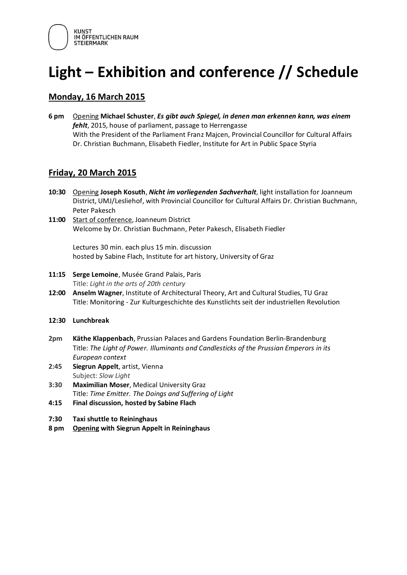

# **Light – Exhibition and conference // Schedule**

#### **Monday, 16 March 2015**

**6 pm** Opening **Michael Schuster**, *Es gibt auch Spiegel, in denen man erkennen kann, was einem fehlt*, 2015, house of parliament, passage to Herrengasse With the President of the Parliament Franz Majcen, Provincial Councillor for Cultural Affairs Dr. Christian Buchmann, Elisabeth Fiedler, Institute for Art in Public Space Styria

### **Friday, 20 March 2015**

- **10:30** Opening **Joseph Kosuth**, *Nicht im vorliegenden Sachverhalt*, light installation for Joanneum District, UMJ/Lesliehof, with Provincial Councillor for Cultural Affairs Dr. Christian Buchmann, Peter Pakesch
- 11:00 Start of conference, Joanneum District Welcome by Dr. Christian Buchmann, Peter Pakesch, Elisabeth Fiedler

Lectures 30 min. each plus 15 min. discussion hosted by Sabine Flach, Institute for art history, University of Graz

- **11:15 Serge Lemoine**, Musée Grand Palais, Paris Title: *Light in the arts of 20th century*
- **12:00 Anselm Wagner**, Institute of Architectural Theory, Art and Cultural Studies, TU Graz Title: Monitoring - Zur Kulturgeschichte des Kunstlichts seit der industriellen Revolution
- **12:30 Lunchbreak**
- **2pm Käthe Klappenbach**, Prussian Palaces and Gardens Foundation Berlin-Brandenburg Title: *The Light of Power. Illuminants and Candlesticks of the Prussian Emperors in its European context*
- **2:45 Siegrun Appelt**, artist, Vienna Subject: *Slow Light*
- **3:30 Maximilian Moser**, Medical University Graz Title: *Time Emitter. The Doings and Suffering of Light*
- **4:15 Final discussion, hosted by Sabine Flach**
- **7:30 Taxi shuttle to Reininghaus**
- **8 pm Opening with Siegrun Appelt in Reininghaus**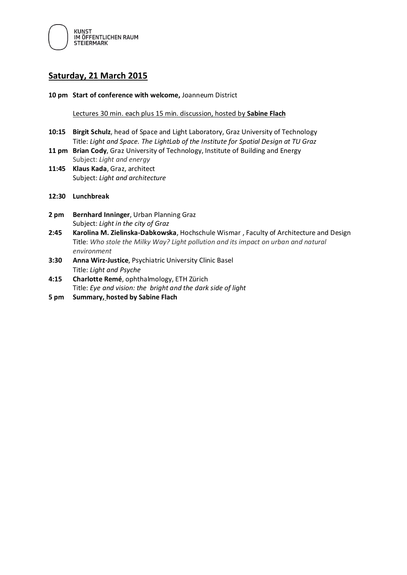

### **Saturday, 21 March 2015**

**10 pm Start of conference with welcome,** Joanneum District

Lectures 30 min. each plus 15 min. discussion, hosted by **Sabine Flach**

- **10:15 Birgit Schulz**, head of Space and Light Laboratory, Graz University of Technology Title: *Light and Space. The LightLab of the Institute for Spatial Design at TU Graz*
- **11 pm Brian Cody**, Graz University of Technology, Institute of Building and Energy Subject: *Light and energy*
- **11:45 Klaus Kada**, Graz, architect Subject: *Light and architecture*
- **12:30 Lunchbreak**
- **2 pm Bernhard Inninger**, Urban Planning Graz Subject: *Light in the city of Graz*
- **2:45 Karolina M. Zielinska-Dabkowska**, Hochschule Wismar , Faculty of Architecture and Design Title: *Who stole the Milky Way? Light pollution and its impact on urban and natural environment*
- **3:30 Anna Wirz-Justice**, Psychiatric University Clinic Basel Title: *Light and Psyche*
- **4:15 Charlotte Remé**, ophthalmology, ETH Zürich Title: *Eye and vision: the bright and the dark side of light*
- **5 pm Summary, hosted by Sabine Flach**